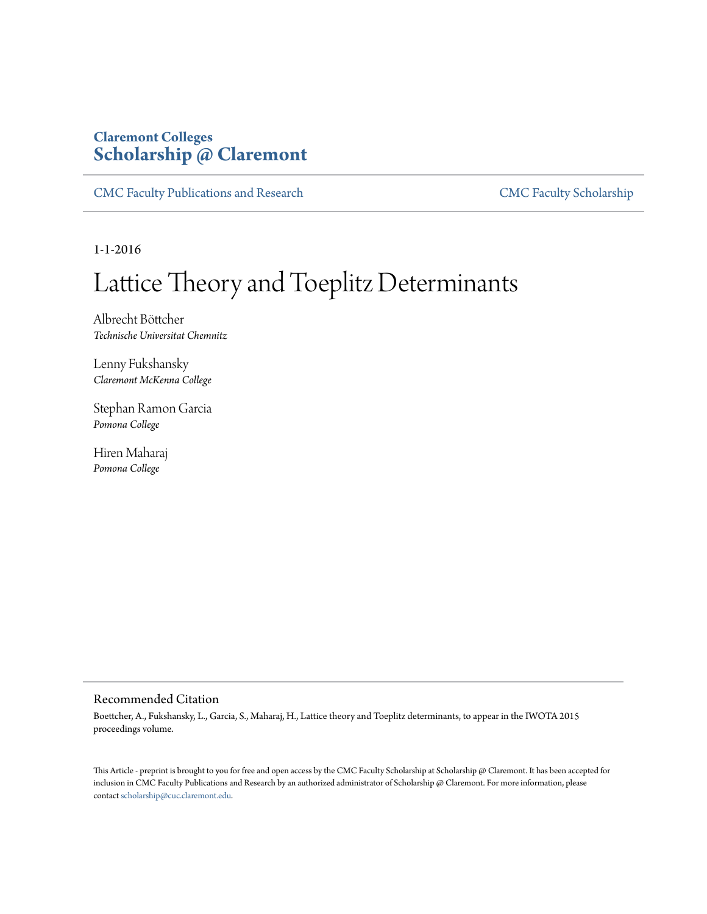# **Claremont Colleges [Scholarship @ Claremont](http://scholarship.claremont.edu)**

[CMC Faculty Publications and Research](http://scholarship.claremont.edu/cmc_fac_pub) [CMC Faculty Scholarship](http://scholarship.claremont.edu/cmc_faculty)

1-1-2016

# Lattice Theory and Toeplitz Determinants

Albrecht Böttcher *Technische Universitat Chemnitz*

Lenny Fukshansky *Claremont McKenna College*

Stephan Ramon Garcia *Pomona College*

Hiren Maharaj *Pomona College*

# Recommended Citation

Boettcher, A., Fukshansky, L., Garcia, S., Maharaj, H., Lattice theory and Toeplitz determinants, to appear in the IWOTA 2015 proceedings volume.

This Article - preprint is brought to you for free and open access by the CMC Faculty Scholarship at Scholarship @ Claremont. It has been accepted for inclusion in CMC Faculty Publications and Research by an authorized administrator of Scholarship @ Claremont. For more information, please contact [scholarship@cuc.claremont.edu](mailto:scholarship@cuc.claremont.edu).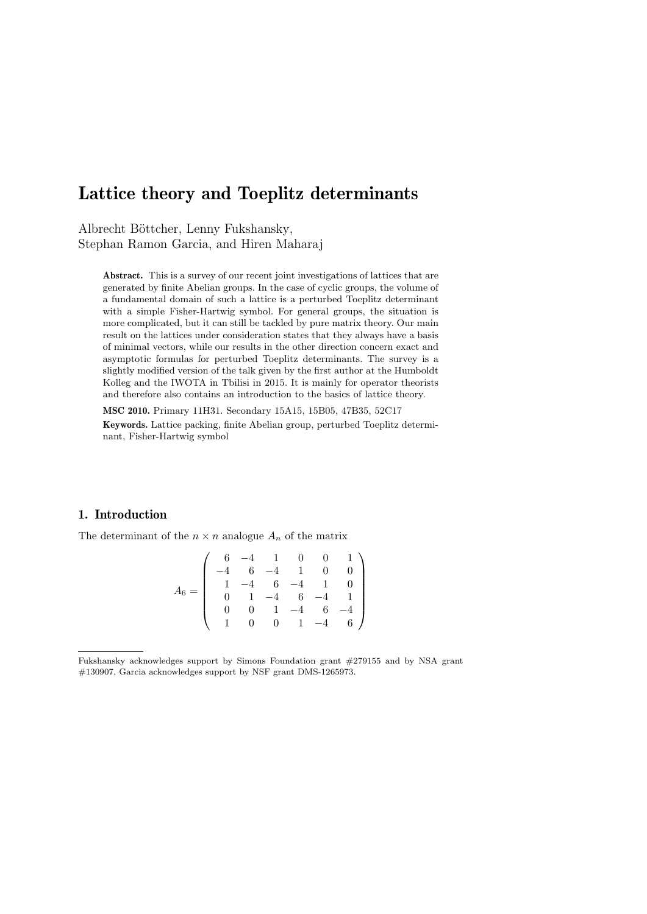# Lattice theory and Toeplitz determinants

Albrecht Böttcher, Lenny Fukshansky, Stephan Ramon Garcia, and Hiren Maharaj

Abstract. This is a survey of our recent joint investigations of lattices that are generated by finite Abelian groups. In the case of cyclic groups, the volume of a fundamental domain of such a lattice is a perturbed Toeplitz determinant with a simple Fisher-Hartwig symbol. For general groups, the situation is more complicated, but it can still be tackled by pure matrix theory. Our main result on the lattices under consideration states that they always have a basis of minimal vectors, while our results in the other direction concern exact and asymptotic formulas for perturbed Toeplitz determinants. The survey is a slightly modified version of the talk given by the first author at the Humboldt Kolleg and the IWOTA in Tbilisi in 2015. It is mainly for operator theorists and therefore also contains an introduction to the basics of lattice theory.

MSC 2010. Primary 11H31. Secondary 15A15, 15B05, 47B35, 52C17 Keywords. Lattice packing, finite Abelian group, perturbed Toeplitz determinant, Fisher-Hartwig symbol

### 1. Introduction

The determinant of the  $n \times n$  analogue  $A_n$  of the matrix

$$
A_6 = \left(\begin{array}{cccccc} 6 & -4 & 1 & 0 & 0 & 1 \\ -4 & 6 & -4 & 1 & 0 & 0 \\ 1 & -4 & 6 & -4 & 1 & 0 \\ 0 & 1 & -4 & 6 & -4 & 1 \\ 0 & 0 & 1 & -4 & 6 & -4 \\ 1 & 0 & 0 & 1 & -4 & 6 \end{array}\right)
$$

Fukshansky acknowledges support by Simons Foundation grant #279155 and by NSA grant #130907, Garcia acknowledges support by NSF grant DMS-1265973.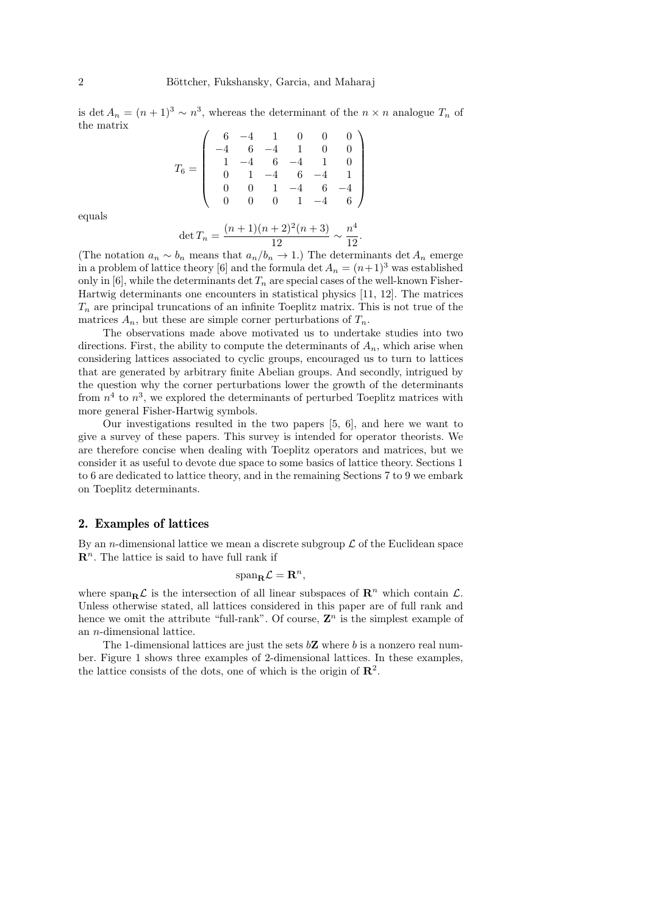is det  $A_n = (n+1)^3 \sim n^3$ , whereas the determinant of the  $n \times n$  analogue  $T_n$  of the matrix

$$
T_6=\left(\begin{array}{cccccc}6&-4&1&0&0&0\\-4&6&-4&1&0&0\\1&-4&6&-4&1&0\\0&1&-4&6&-4&1\\0&0&1&-4&6&-4\\0&0&0&1&-4&6\end{array}\right)
$$

equals

$$
\det T_n = \frac{(n+1)(n+2)^2(n+3)}{12} \sim \frac{n^4}{12}.
$$

(The notation  $a_n \sim b_n$  means that  $a_n/b_n \to 1$ .) The determinants det  $A_n$  emerge in a problem of lattice theory [6] and the formula det  $A_n = (n+1)^3$  was established only in [6], while the determinants det  $T_n$  are special cases of the well-known Fisher-Hartwig determinants one encounters in statistical physics [11, 12]. The matrices  $T_n$  are principal truncations of an infinite Toeplitz matrix. This is not true of the matrices  $A_n$ , but these are simple corner perturbations of  $T_n$ .

The observations made above motivated us to undertake studies into two directions. First, the ability to compute the determinants of  $A_n$ , which arise when considering lattices associated to cyclic groups, encouraged us to turn to lattices that are generated by arbitrary finite Abelian groups. And secondly, intrigued by the question why the corner perturbations lower the growth of the determinants from  $n<sup>4</sup>$  to  $n<sup>3</sup>$ , we explored the determinants of perturbed Toeplitz matrices with more general Fisher-Hartwig symbols.

Our investigations resulted in the two papers [5, 6], and here we want to give a survey of these papers. This survey is intended for operator theorists. We are therefore concise when dealing with Toeplitz operators and matrices, but we consider it as useful to devote due space to some basics of lattice theory. Sections 1 to 6 are dedicated to lattice theory, and in the remaining Sections 7 to 9 we embark on Toeplitz determinants.

#### 2. Examples of lattices

By an *n*-dimensional lattice we mean a discrete subgroup  $\mathcal L$  of the Euclidean space  $\mathbb{R}^n$ . The lattice is said to have full rank if

$$
\mathrm{span}_{\mathbf{R}} \mathcal{L} = \mathbf{R}^n,
$$

where span<sub>R</sub> $\mathcal{L}$  is the intersection of all linear subspaces of  $\mathbb{R}^n$  which contain  $\mathcal{L}$ . Unless otherwise stated, all lattices considered in this paper are of full rank and hence we omit the attribute "full-rank". Of course,  $\mathbf{Z}^n$  is the simplest example of an n-dimensional lattice.

The 1-dimensional lattices are just the sets  $b\mathbf{Z}$  where b is a nonzero real number. Figure 1 shows three examples of 2-dimensional lattices. In these examples, the lattice consists of the dots, one of which is the origin of  $\mathbb{R}^2$ .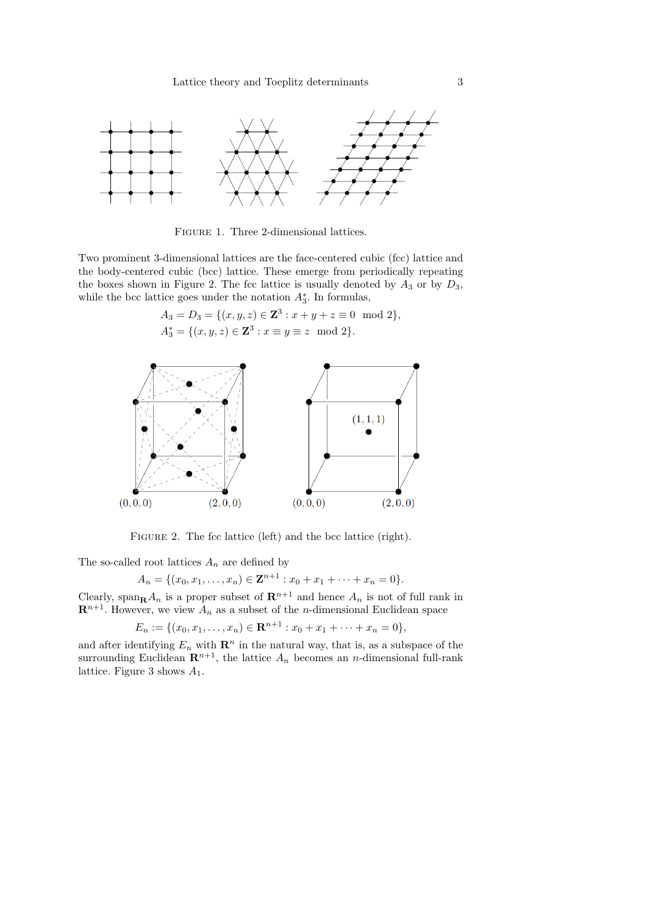

Figure 1. Three 2-dimensional lattices.

Two prominent 3-dimensional lattices are the face-centered cubic (fcc) lattice and the body-centered cubic (bcc) lattice. These emerge from periodically repeating the boxes shown in Figure 2. The fcc lattice is usually denoted by  $A_3$  or by  $D_3$ , while the bcc lattice goes under the notation  $A_3^*$ . In formulas,

$$
A_3 = D_3 = \{(x, y, z) \in \mathbf{Z}^3 : x + y + z \equiv 0 \mod 2\},\
$$
  

$$
A_3^* = \{(x, y, z) \in \mathbf{Z}^3 : x \equiv y \equiv z \mod 2\}.
$$



FIGURE 2. The fcc lattice (left) and the bcc lattice (right).

The so-called root lattices  $A_n$  are defined by

$$
A_n = \{(x_0, x_1, \dots, x_n) \in \mathbf{Z}^{n+1} : x_0 + x_1 + \dots + x_n = 0\}.
$$

Clearly, span<sub>R</sub> $A_n$  is a proper subset of  $\mathbb{R}^{n+1}$  and hence  $A_n$  is not of full rank in  $\mathbb{R}^{n+1}$ . However, we view  $A_n$  as a subset of the *n*-dimensional Euclidean space

 $E_n := \{(x_0, x_1, \ldots, x_n) \in \mathbf{R}^{n+1} : x_0 + x_1 + \cdots + x_n = 0\},\$ 

and after identifying  $E_n$  with  $\mathbb{R}^n$  in the natural way, that is, as a subspace of the surrounding Euclidean  $\mathbb{R}^{n+1}$ , the lattice  $A_n$  becomes an *n*-dimensional full-rank lattice. Figure 3 shows  $A_1$ .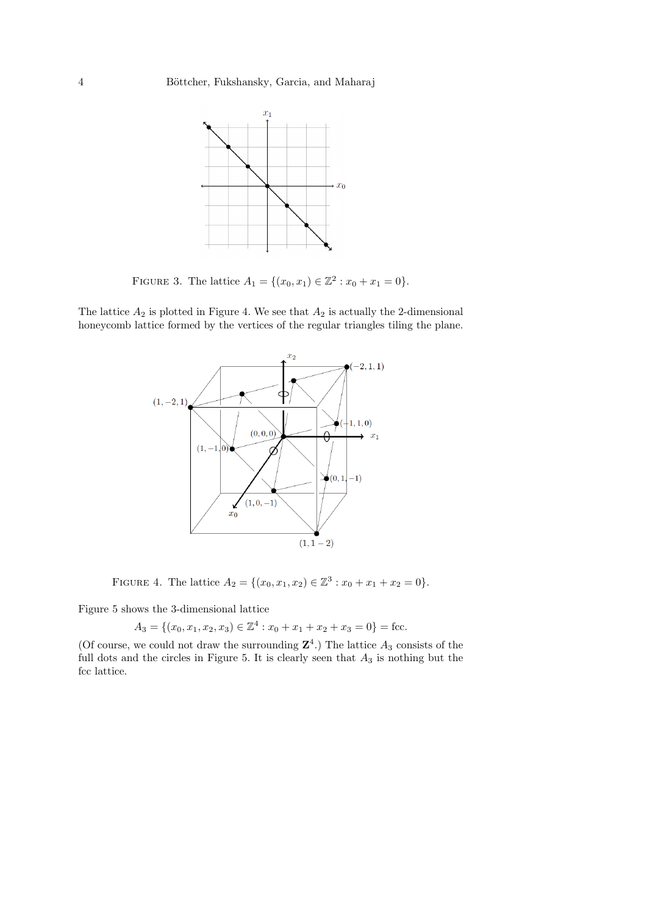

FIGURE 3. The lattice  $A_1 = \{(x_0, x_1) \in \mathbb{Z}^2 : x_0 + x_1 = 0\}.$ 

The lattice  $A_2$  is plotted in Figure 4. We see that  $A_2$  is actually the 2-dimensional honeycomb lattice formed by the vertices of the regular triangles tiling the plane.



FIGURE 4. The lattice  $A_2 = \{(x_0, x_1, x_2) \in \mathbb{Z}^3 : x_0 + x_1 + x_2 = 0\}.$ 

Figure 5 shows the 3-dimensional lattice

$$
A_3 = \{(x_0, x_1, x_2, x_3) \in \mathbb{Z}^4 : x_0 + x_1 + x_2 + x_3 = 0\} = \text{fcc}.
$$

(Of course, we could not draw the surrounding  $\mathbb{Z}^4$ .) The lattice  $A_3$  consists of the full dots and the circles in Figure 5. It is clearly seen that  $A_3$  is nothing but the fcc lattice.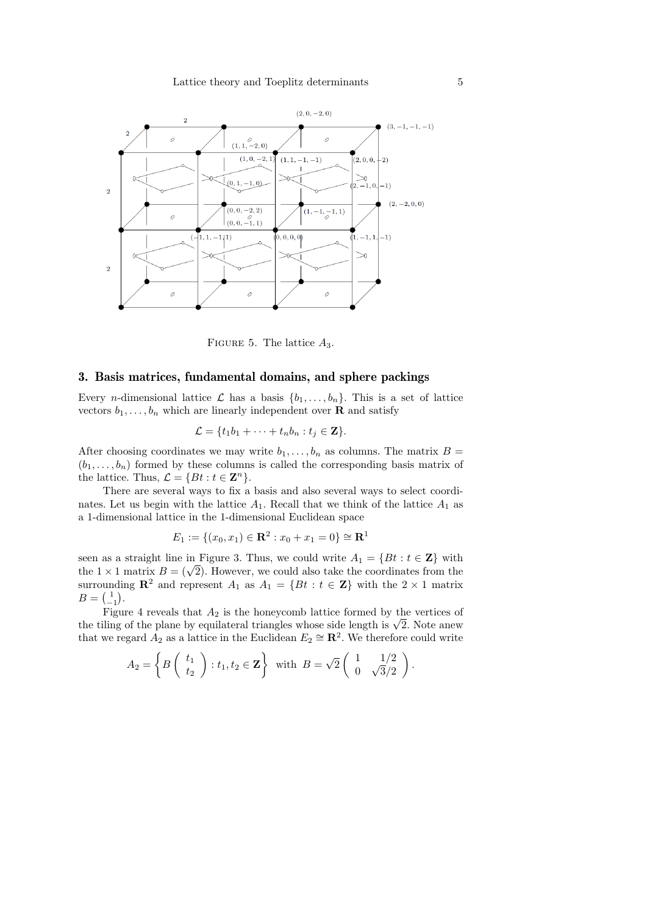#### Lattice theory and Toeplitz determinants 5



FIGURE 5. The lattice  $A_3$ .

#### 3. Basis matrices, fundamental domains, and sphere packings

Every *n*-dimensional lattice  $\mathcal{L}$  has a basis  $\{b_1, \ldots, b_n\}$ . This is a set of lattice vectors  $b_1, \ldots, b_n$  which are linearly independent over **R** and satisfy

$$
\mathcal{L} = \{t_1b_1 + \cdots + t_nb_n : t_j \in \mathbf{Z}\}.
$$

After choosing coordinates we may write  $b_1, \ldots, b_n$  as columns. The matrix  $B =$  $(b_1, \ldots, b_n)$  formed by these columns is called the corresponding basis matrix of the lattice. Thus,  $\mathcal{L} = \{Bt : t \in \mathbb{Z}^n\}.$ 

There are several ways to fix a basis and also several ways to select coordinates. Let us begin with the lattice  $A_1$ . Recall that we think of the lattice  $A_1$  as a 1-dimensional lattice in the 1-dimensional Euclidean space

$$
E_1 := \{(x_0, x_1) \in \mathbf{R}^2 : x_0 + x_1 = 0\} \cong \mathbf{R}^1
$$

seen as a straight line in Figure 3. Thus, we could write  $A_1 = \{Bt : t \in \mathbb{Z}\}\)$  with seen as a straight line in Figure 5. Thus, we could write  $A_1 = \{D \colon t \in \mathbb{Z}\}\)$  with the  $1 \times 1$  matrix  $B = (\sqrt{2})$ . However, we could also take the coordinates from the surrounding  $\mathbb{R}^2$  and represent  $A_1$  as  $A_1 = \{Bt : t \in \mathbb{Z}\}\)$  with the  $2 \times 1$  matrix  $B = \begin{pmatrix} 1 \\ -1 \end{pmatrix}.$ 

Figure 4 reveals that  $A_2$  is the honeycomb lattice formed by the vertices of the tiling of the plane by equilateral triangles whose side length is  $\sqrt{2}$ . Note anew that we regard  $A_2$  as a lattice in the Euclidean  $E_2 \cong \mathbb{R}^2$ . We therefore could write

$$
A_2 = \left\{ B \left( \begin{array}{c} t_1 \\ t_2 \end{array} \right) : t_1, t_2 \in \mathbf{Z} \right\} \text{ with } B = \sqrt{2} \left( \begin{array}{cc} 1 & 1/2 \\ 0 & \sqrt{3}/2 \end{array} \right).
$$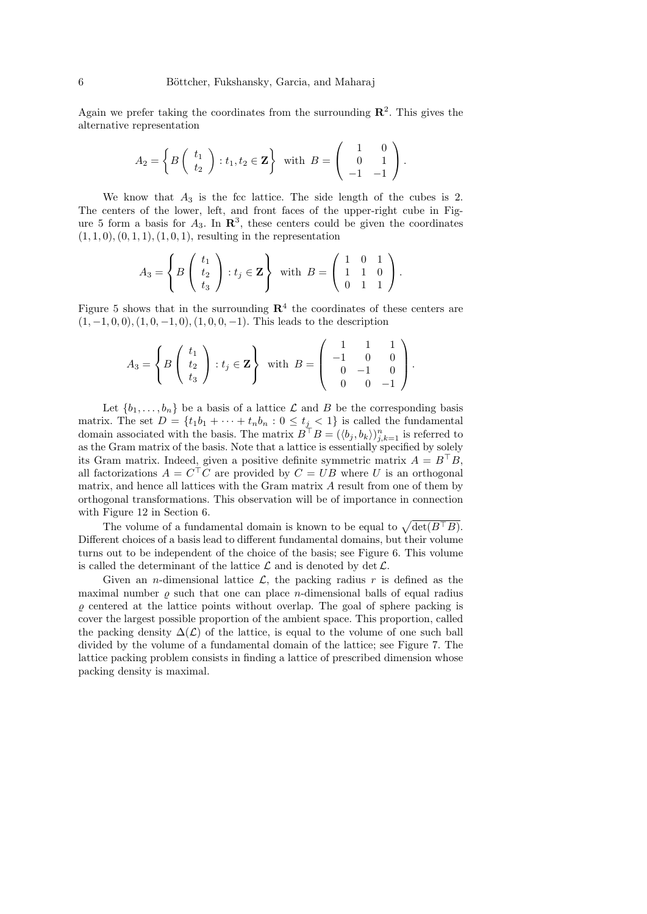Again we prefer taking the coordinates from the surrounding  $\mathbb{R}^2$ . This gives the alternative representation

$$
A_2 = \left\{ B \left( \begin{array}{c} t_1 \\ t_2 \end{array} \right) : t_1, t_2 \in \mathbf{Z} \right\} \text{ with } B = \left( \begin{array}{cc} 1 & 0 \\ 0 & 1 \\ -1 & -1 \end{array} \right).
$$

We know that  $A_3$  is the fcc lattice. The side length of the cubes is 2. The centers of the lower, left, and front faces of the upper-right cube in Figure 5 form a basis for  $A_3$ . In  $\mathbb{R}^3$ , these centers could be given the coordinates  $(1, 1, 0), (0, 1, 1), (1, 0, 1),$  resulting in the representation

$$
A_3 = \left\{ B \left( \begin{array}{c} t_1 \\ t_2 \\ t_3 \end{array} \right) : t_j \in \mathbf{Z} \right\} \text{ with } B = \left( \begin{array}{ccc} 1 & 0 & 1 \\ 1 & 1 & 0 \\ 0 & 1 & 1 \end{array} \right).
$$

Figure 5 shows that in the surrounding  $\mathbb{R}^4$  the coordinates of these centers are  $(1, -1, 0, 0), (1, 0, -1, 0), (1, 0, 0, -1).$  This leads to the description

$$
A_3 = \left\{ B \left( \begin{array}{c} t_1 \\ t_2 \\ t_3 \end{array} \right) : t_j \in \mathbf{Z} \right\} \text{ with } B = \left( \begin{array}{rrr} 1 & 1 & 1 \\ -1 & 0 & 0 \\ 0 & -1 & 0 \\ 0 & 0 & -1 \end{array} \right).
$$

Let  $\{b_1, \ldots, b_n\}$  be a basis of a lattice  $\mathcal L$  and  $B$  be the corresponding basis matrix. The set  $D = \{t_1b_1 + \cdots + t_nb_n : 0 \le t_j < 1\}$  is called the fundamental domain associated with the basis. The matrix  $B^{\top}B = (\langle b_j, b_k \rangle)_{j,k=1}^n$  is referred to as the Gram matrix of the basis. Note that a lattice is essentially specified by solely its Gram matrix. Indeed, given a positive definite symmetric matrix  $A = B^{\top}B$ , all factorizations  $A = C<sup>T</sup>C$  are provided by  $C = UB$  where U is an orthogonal matrix, and hence all lattices with the Gram matrix A result from one of them by orthogonal transformations. This observation will be of importance in connection with Figure 12 in Section 6.

The volume of a fundamental domain is known to be equal to  $\sqrt{\det(B^{\top}B)}$ . Different choices of a basis lead to different fundamental domains, but their volume turns out to be independent of the choice of the basis; see Figure 6. This volume is called the determinant of the lattice  $\mathcal L$  and is denoted by det  $\mathcal L$ .

Given an *n*-dimensional lattice  $\mathcal{L}$ , the packing radius r is defined as the maximal number  $\rho$  such that one can place *n*-dimensional balls of equal radius  $\rho$  centered at the lattice points without overlap. The goal of sphere packing is cover the largest possible proportion of the ambient space. This proportion, called the packing density  $\Delta(\mathcal{L})$  of the lattice, is equal to the volume of one such ball divided by the volume of a fundamental domain of the lattice; see Figure 7. The lattice packing problem consists in finding a lattice of prescribed dimension whose packing density is maximal.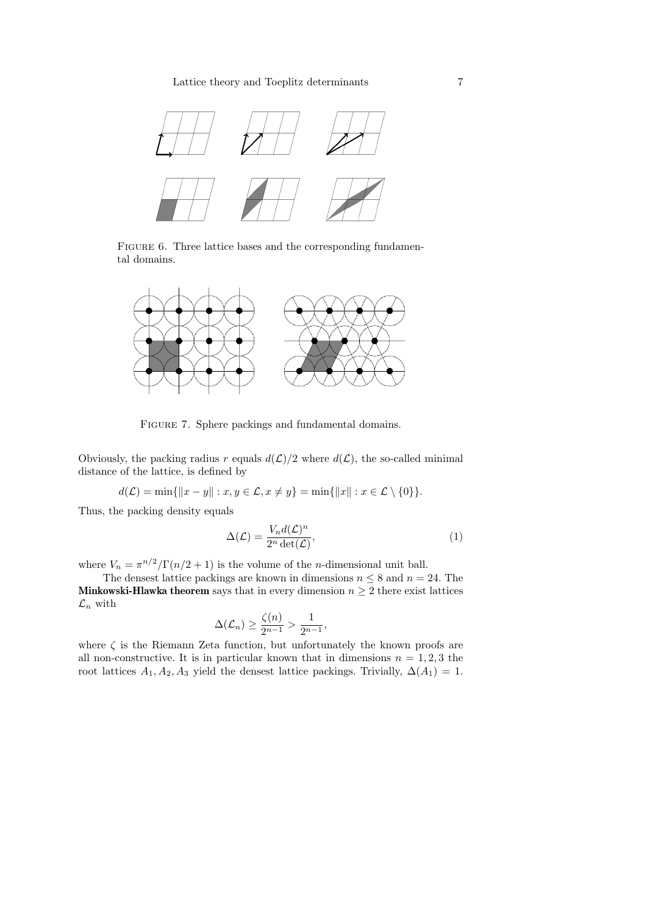#### Lattice theory and Toeplitz determinants 7



FIGURE 6. Three lattice bases and the corresponding fundamental domains.



Figure 7. Sphere packings and fundamental domains.

Obviously, the packing radius r equals  $d(\mathcal{L})/2$  where  $d(\mathcal{L})$ , the so-called minimal distance of the lattice, is defined by

$$
d(\mathcal{L}) = \min\{\|x - y\| : x, y \in \mathcal{L}, x \neq y\} = \min\{\|x\| : x \in \mathcal{L} \setminus \{0\}\}.
$$

Thus, the packing density equals

$$
\Delta(\mathcal{L}) = \frac{V_n d(\mathcal{L})^n}{2^n \det(\mathcal{L})},\tag{1}
$$

where  $V_n = \pi^{n/2}/\Gamma(n/2 + 1)$  is the volume of the *n*-dimensional unit ball.

The densest lattice packings are known in dimensions  $n \leq 8$  and  $n = 24$ . The **Minkowski-Hlawka theorem** says that in every dimension  $n \geq 2$  there exist lattices  $\mathcal{L}_n$  with

$$
\Delta(\mathcal{L}_n) \ge \frac{\zeta(n)}{2^{n-1}} > \frac{1}{2^{n-1}},
$$

where  $\zeta$  is the Riemann Zeta function, but unfortunately the known proofs are all non-constructive. It is in particular known that in dimensions  $n = 1, 2, 3$  the root lattices  $A_1, A_2, A_3$  yield the densest lattice packings. Trivially,  $\Delta(A_1) = 1$ .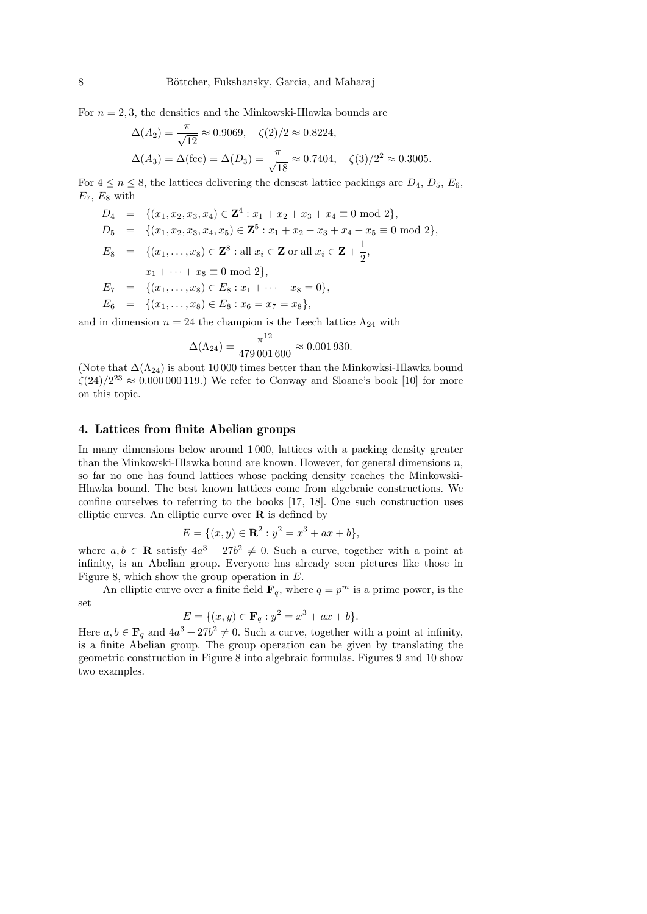For  $n = 2, 3$ , the densities and the Minkowski-Hlawka bounds are

$$
\Delta(A_2) = \frac{\pi}{\sqrt{12}} \approx 0.9069, \quad \zeta(2)/2 \approx 0.8224,
$$
  

$$
\Delta(A_3) = \Delta(\text{fcc}) = \Delta(D_3) = \frac{\pi}{\sqrt{18}} \approx 0.7404, \quad \zeta(3)/2^2 \approx 0.3005.
$$

For  $4 \le n \le 8$ , the lattices delivering the densest lattice packings are  $D_4$ ,  $D_5$ ,  $E_6$ ,  $E_7, E_8$  with

$$
D_4 = \{(x_1, x_2, x_3, x_4) \in \mathbf{Z}^4 : x_1 + x_2 + x_3 + x_4 \equiv 0 \mod 2\},
$$
  
\n
$$
D_5 = \{(x_1, x_2, x_3, x_4, x_5) \in \mathbf{Z}^5 : x_1 + x_2 + x_3 + x_4 + x_5 \equiv 0 \mod 2\},
$$
  
\n
$$
E_8 = \{(x_1, \ldots, x_8) \in \mathbf{Z}^8 : \text{all } x_i \in \mathbf{Z} \text{ or all } x_i \in \mathbf{Z} + \frac{1}{2},
$$
  
\n
$$
x_1 + \cdots + x_8 \equiv 0 \mod 2\},
$$
  
\n
$$
E_7 = \{(x_1, \ldots, x_8) \in E_8 : x_1 + \cdots + x_8 = 0\},
$$
  
\n
$$
E_6 = \{(x_1, \ldots, x_8) \in E_8 : x_6 = x_7 = x_8\},
$$

and in dimension  $n = 24$  the champion is the Leech lattice  $\Lambda_{24}$  with

$$
\Delta(\Lambda_{24}) = \frac{\pi^{12}}{479\,001\,600} \approx 0.001\,930.
$$

(Note that  $\Delta(\Lambda_{24})$ ) is about 10 000 times better than the Minkowksi-Hlawka bound  $\zeta(24)/2^{23} \approx 0.000000119$ .) We refer to Conway and Sloane's book [10] for more on this topic.

#### 4. Lattices from finite Abelian groups

In many dimensions below around 1 000, lattices with a packing density greater than the Minkowski-Hlawka bound are known. However, for general dimensions  $n$ , so far no one has found lattices whose packing density reaches the Minkowski-Hlawka bound. The best known lattices come from algebraic constructions. We confine ourselves to referring to the books [17, 18]. One such construction uses elliptic curves. An elliptic curve over  $\bf{R}$  is defined by

$$
E = \{(x, y) \in \mathbf{R}^2 : y^2 = x^3 + ax + b\},\
$$

where  $a, b \in \mathbf{R}$  satisfy  $4a^3 + 27b^2 \neq 0$ . Such a curve, together with a point at infinity, is an Abelian group. Everyone has already seen pictures like those in Figure 8, which show the group operation in E.

An elliptic curve over a finite field  $\mathbf{F}_q$ , where  $q = p^m$  is a prime power, is the set

$$
E = \{(x, y) \in \mathbf{F}_q : y^2 = x^3 + ax + b\}.
$$

Here  $a, b \in \mathbf{F}_q$  and  $4a^3 + 27b^2 \neq 0$ . Such a curve, together with a point at infinity, is a finite Abelian group. The group operation can be given by translating the geometric construction in Figure 8 into algebraic formulas. Figures 9 and 10 show two examples.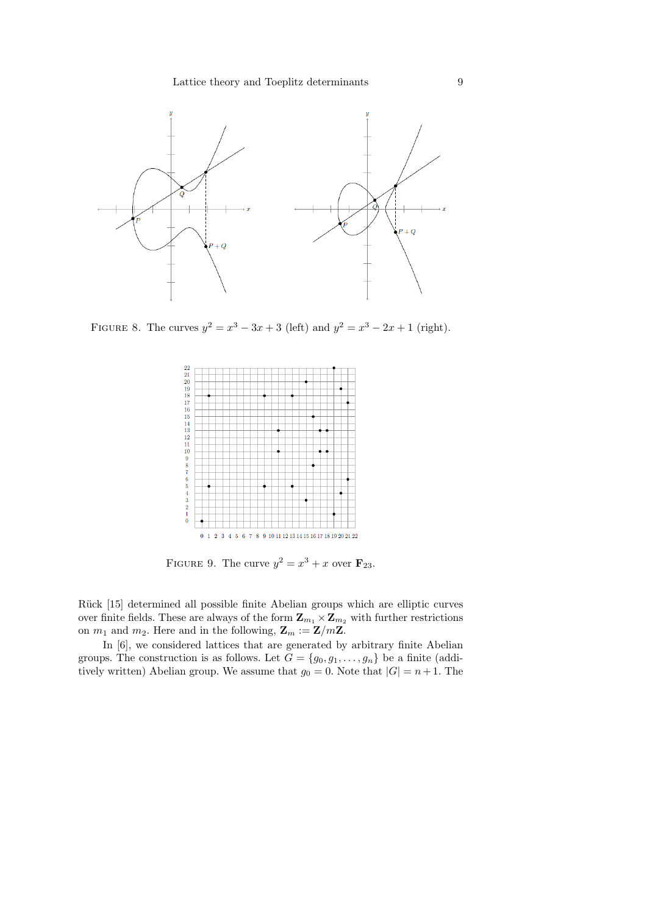#### Lattice theory and Toeplitz determinants 9



FIGURE 8. The curves  $y^2 = x^3 - 3x + 3$  (left) and  $y^2 = x^3 - 2x + 1$  (right).



FIGURE 9. The curve  $y^2 = x^3 + x$  over  $\mathbf{F}_{23}$ .

Rück [15] determined all possible finite Abelian groups which are elliptic curves over finite fields. These are always of the form  $\mathbf{Z}_{m_1} \times \mathbf{Z}_{m_2}$  with further restrictions on  $m_1$  and  $m_2$ . Here and in the following,  $\mathbf{Z}_m := \mathbf{Z}/m\mathbf{Z}$ .

In [6], we considered lattices that are generated by arbitrary finite Abelian groups. The construction is as follows. Let  $G = \{g_0, g_1, \ldots, g_n\}$  be a finite (additively written) Abelian group. We assume that  $g_0 = 0$ . Note that  $|G| = n + 1$ . The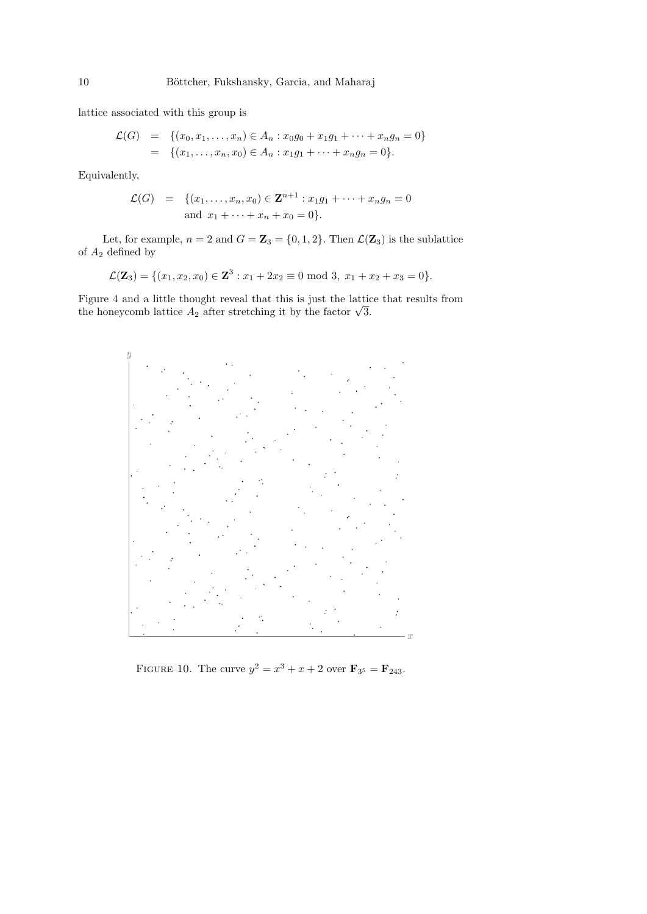lattice associated with this group is

$$
\mathcal{L}(G) = \{(x_0, x_1, \dots, x_n) \in A_n : x_0g_0 + x_1g_1 + \dots + x_ng_n = 0\}
$$
  
=  $\{(x_1, \dots, x_n, x_0) \in A_n : x_1g_1 + \dots + x_ng_n = 0\}.$ 

Equivalently,

$$
\mathcal{L}(G) = \{(x_1, \dots, x_n, x_0) \in \mathbf{Z}^{n+1} : x_1 g_1 + \dots + x_n g_n = 0
$$
  
and  $x_1 + \dots + x_n + x_0 = 0\}.$ 

Let, for example,  $n = 2$  and  $G = \mathbb{Z}_3 = \{0, 1, 2\}$ . Then  $\mathcal{L}(\mathbb{Z}_3)$  is the sublattice of  $A_2$  defined by

$$
\mathcal{L}(\mathbf{Z}_3) = \{ (x_1, x_2, x_0) \in \mathbf{Z}^3 : x_1 + 2x_2 \equiv 0 \text{ mod } 3, x_1 + x_2 + x_3 = 0 \}.
$$

Figure 4 and a little thought reveal that this is just the lattice that results from Figure 4 and a little thought reveal that this is just the lattice the honeycomb lattice  $A_2$  after stretching it by the factor  $\sqrt{3}$ .



FIGURE 10. The curve  $y^2 = x^3 + x + 2$  over  $\mathbf{F}_{3^5} = \mathbf{F}_{243}$ .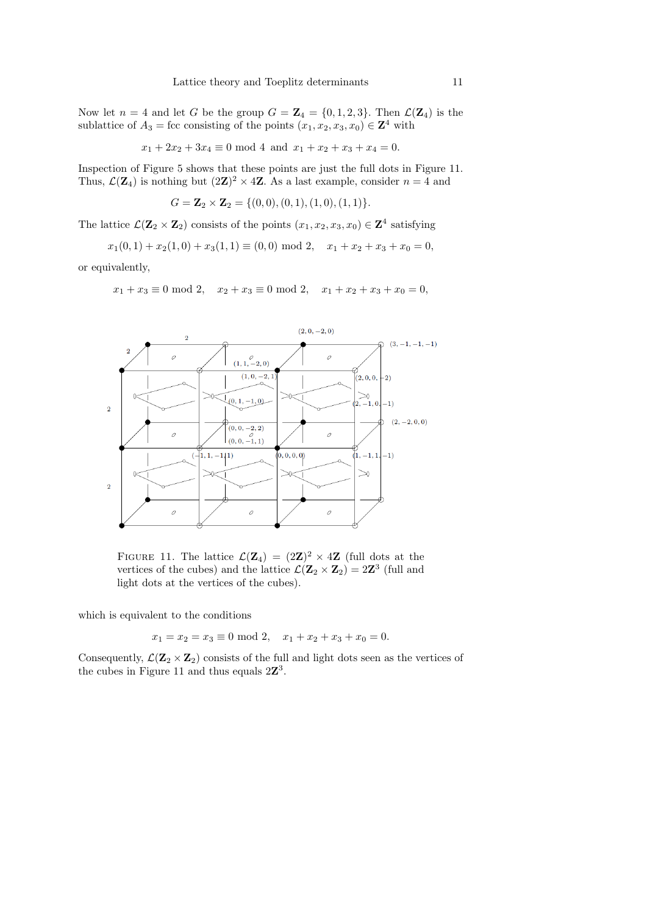Now let  $n = 4$  and let G be the group  $G = \mathbb{Z}_4 = \{0, 1, 2, 3\}$ . Then  $\mathcal{L}(\mathbb{Z}_4)$  is the sublattice of  $A_3$  = fcc consisting of the points  $(x_1, x_2, x_3, x_0) \in \mathbb{Z}^4$  with

$$
x_1 + 2x_2 + 3x_4 \equiv 0 \mod 4 \text{ and } x_1 + x_2 + x_3 + x_4 = 0.
$$

Inspection of Figure 5 shows that these points are just the full dots in Figure 11. Thus,  $\mathcal{L}(\mathbf{Z}_4)$  is nothing but  $(2\mathbf{Z})^2 \times 4\mathbf{Z}$ . As a last example, consider  $n=4$  and

$$
G = \mathbf{Z}_2 \times \mathbf{Z}_2 = \{ (0,0), (0,1), (1,0), (1,1) \}.
$$

The lattice  $\mathcal{L}(\mathbf{Z}_2 \times \mathbf{Z}_2)$  consists of the points  $(x_1, x_2, x_3, x_0) \in \mathbf{Z}^4$  satisfying

$$
x_1(0,1) + x_2(1,0) + x_3(1,1) \equiv (0,0) \bmod 2, \quad x_1 + x_2 + x_3 + x_0 = 0,
$$

or equivalently,

$$
x_1 + x_3 \equiv 0 \mod 2
$$
,  $x_2 + x_3 \equiv 0 \mod 2$ ,  $x_1 + x_2 + x_3 + x_0 = 0$ ,



FIGURE 11. The lattice  $\mathcal{L}(\mathbf{Z}_4) = (2\mathbf{Z})^2 \times 4\mathbf{Z}$  (full dots at the vertices of the cubes) and the lattice  $\mathcal{L}(\mathbf{Z}_2 \times \mathbf{Z}_2) = 2\mathbf{Z}^3$  (full and light dots at the vertices of the cubes).

which is equivalent to the conditions

$$
x_1 = x_2 = x_3 \equiv 0 \mod 2, \quad x_1 + x_2 + x_3 + x_0 = 0.
$$

Consequently,  $\mathcal{L}(\mathbf{Z}_2 \times \mathbf{Z}_2)$  consists of the full and light dots seen as the vertices of the cubes in Figure 11 and thus equals  $2\mathbb{Z}^3$ .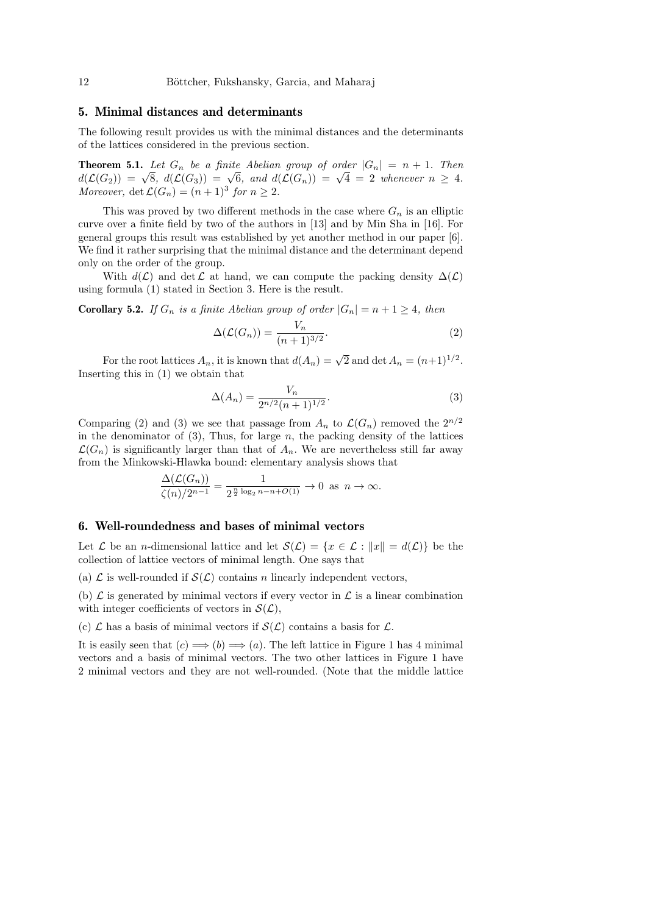#### 5. Minimal distances and determinants

The following result provides us with the minimal distances and the determinants of the lattices considered in the previous section.

**Theorem 5.1.** Let  $G_n$  be a finite Abelian group of order  $|G_n| = n + 1$ . Then **Theorem 3.1.** Let  $G_n$  be a junite Abendan group of order  $|G_n| = n + 1$ . Then<br> $d(\mathcal{L}(G_2)) = \sqrt{8}$ ,  $d(\mathcal{L}(G_3)) = \sqrt{6}$ , and  $d(\mathcal{L}(G_n)) = \sqrt{4} = 2$  whenever  $n \geq 4$ . Moreover,  $\det \mathcal{L}(G_n) = (n+1)^3$  for  $n \geq 2$ .

This was proved by two different methods in the case where  $G_n$  is an elliptic curve over a finite field by two of the authors in [13] and by Min Sha in [16]. For general groups this result was established by yet another method in our paper [6]. We find it rather surprising that the minimal distance and the determinant depend only on the order of the group.

With  $d(\mathcal{L})$  and det  $\mathcal L$  at hand, we can compute the packing density  $\Delta(\mathcal{L})$ using formula (1) stated in Section 3. Here is the result.

**Corollary 5.2.** If  $G_n$  is a finite Abelian group of order  $|G_n| = n + 1 \ge 4$ , then

$$
\Delta(\mathcal{L}(G_n)) = \frac{V_n}{(n+1)^{3/2}}.\tag{2}
$$

For the root lattices  $A_n$ , it is known that  $d(A_n) = \sqrt{2}$  and  $\det A_n = (n+1)^{1/2}$ . Inserting this in (1) we obtain that

$$
\Delta(A_n) = \frac{V_n}{2^{n/2}(n+1)^{1/2}}.\tag{3}
$$

Comparing (2) and (3) we see that passage from  $A_n$  to  $\mathcal{L}(G_n)$  removed the  $2^{n/2}$ in the denominator of  $(3)$ , Thus, for large n, the packing density of the lattices  $\mathcal{L}(G_n)$  is significantly larger than that of  $A_n$ . We are nevertheless still far away from the Minkowski-Hlawka bound: elementary analysis shows that

$$
\frac{\Delta(\mathcal{L}(G_n))}{\zeta(n)/2^{n-1}} = \frac{1}{2^{\frac{n}{2}\log_2 n - n + O(1)}} \to 0 \text{ as } n \to \infty.
$$

#### 6. Well-roundedness and bases of minimal vectors

Let  $\mathcal L$  be an *n*-dimensional lattice and let  $\mathcal S(\mathcal L) = \{x \in \mathcal L : ||x|| = d(\mathcal L)\}\)$  be the collection of lattice vectors of minimal length. One says that

(a)  $\mathcal L$  is well-rounded if  $\mathcal S(\mathcal L)$  contains n linearly independent vectors,

(b)  $\mathcal L$  is generated by minimal vectors if every vector in  $\mathcal L$  is a linear combination with integer coefficients of vectors in  $\mathcal{S}(\mathcal{L}),$ 

(c)  $\mathcal L$  has a basis of minimal vectors if  $\mathcal S(\mathcal L)$  contains a basis for  $\mathcal L$ .

It is easily seen that  $(c) \Longrightarrow (b) \Longrightarrow (a)$ . The left lattice in Figure 1 has 4 minimal vectors and a basis of minimal vectors. The two other lattices in Figure 1 have 2 minimal vectors and they are not well-rounded. (Note that the middle lattice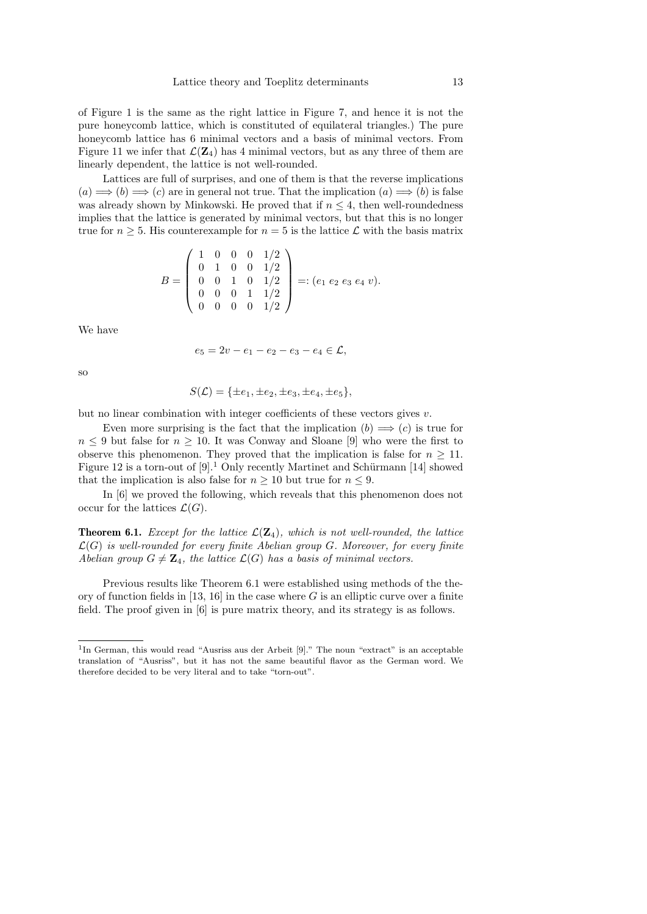of Figure 1 is the same as the right lattice in Figure 7, and hence it is not the pure honeycomb lattice, which is constituted of equilateral triangles.) The pure honeycomb lattice has 6 minimal vectors and a basis of minimal vectors. From Figure 11 we infer that  $\mathcal{L}(Z_4)$  has 4 minimal vectors, but as any three of them are linearly dependent, the lattice is not well-rounded.

Lattices are full of surprises, and one of them is that the reverse implications  $(a) \Longrightarrow (b) \Longrightarrow (c)$  are in general not true. That the implication  $(a) \Longrightarrow (b)$  is false was already shown by Minkowski. He proved that if  $n \leq 4$ , then well-roundedness implies that the lattice is generated by minimal vectors, but that this is no longer true for  $n \geq 5$ . His counterexample for  $n = 5$  is the lattice  $\mathcal L$  with the basis matrix

$$
B = \left(\begin{array}{cccc} 1 & 0 & 0 & 0 & 1/2 \\ 0 & 1 & 0 & 0 & 1/2 \\ 0 & 0 & 1 & 0 & 1/2 \\ 0 & 0 & 0 & 1 & 1/2 \\ 0 & 0 & 0 & 0 & 1/2 \end{array}\right) =: (e_1 \ e_2 \ e_3 \ e_4 \ v).
$$

We have

$$
e_5 = 2v - e_1 - e_2 - e_3 - e_4 \in \mathcal{L},
$$

so

$$
S(\mathcal{L}) = \{\pm e_1, \pm e_2, \pm e_3, \pm e_4, \pm e_5\},\
$$

but no linear combination with integer coefficients of these vectors gives  $v$ .

Even more surprising is the fact that the implication  $(b) \implies (c)$  is true for  $n \leq 9$  but false for  $n \geq 10$ . It was Conway and Sloane [9] who were the first to observe this phenomenon. They proved that the implication is false for  $n \geq 11$ . Figure 12 is a torn-out of  $[9].<sup>1</sup>$  Only recently Martinet and Schürmann [14] showed that the implication is also false for  $n \geq 10$  but true for  $n \leq 9$ .

In [6] we proved the following, which reveals that this phenomenon does not occur for the lattices  $\mathcal{L}(G)$ .

**Theorem 6.1.** Except for the lattice  $\mathcal{L}(\mathbf{Z}_4)$ , which is not well-rounded, the lattice  $\mathcal{L}(G)$  is well-rounded for every finite Abelian group G. Moreover, for every finite Abelian group  $G \neq \mathbb{Z}_4$ , the lattice  $\mathcal{L}(G)$  has a basis of minimal vectors.

Previous results like Theorem 6.1 were established using methods of the theory of function fields in [13, 16] in the case where G is an elliptic curve over a finite field. The proof given in [6] is pure matrix theory, and its strategy is as follows.

<sup>&</sup>lt;sup>1</sup>In German, this would read "Ausriss aus der Arbeit [9]." The noun "extract" is an acceptable translation of "Ausriss", but it has not the same beautiful flavor as the German word. We therefore decided to be very literal and to take "torn-out".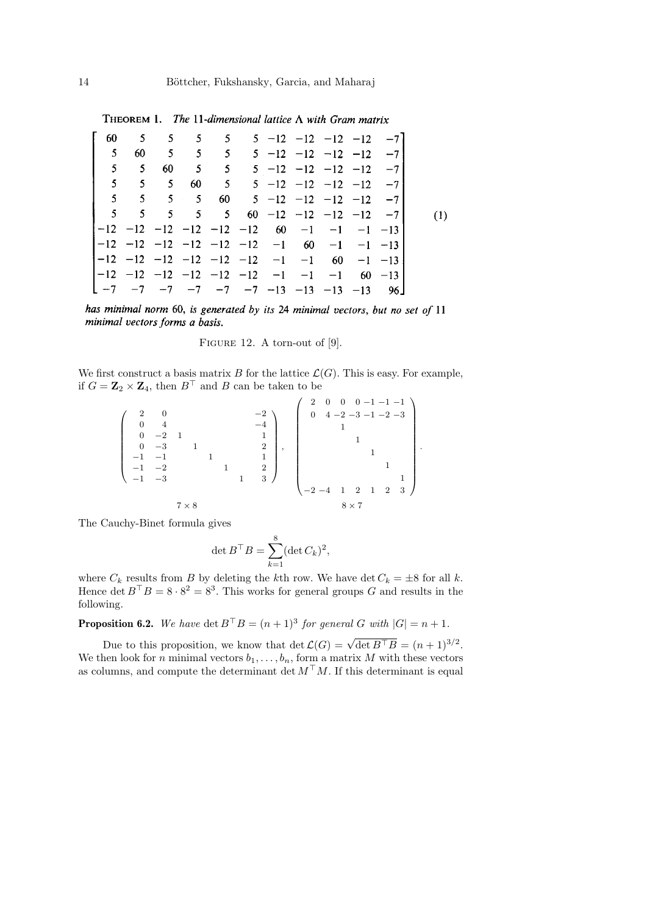THEOREM 1. The 11-dimensional lattice  $\Lambda$  with Gram matrix

|                |                |                     |  |  | 60 5 5 5 5 5 5 -12 -12 -12 -12 -7                                                             |  |     |
|----------------|----------------|---------------------|--|--|-----------------------------------------------------------------------------------------------|--|-----|
| 5 <sub>1</sub> |                |                     |  |  | 60 $5 \t 5 \t 5 \t 5 \t -12 \t -12 \t -12 \t -12 \t -7$                                       |  |     |
| $\mathbf{5}$   | 5 <sup>5</sup> |                     |  |  | 60 $\begin{array}{cccccc} 5 & 5 & 5 & -12 & -12 & -12 & -12 & -71 \end{array}$                |  |     |
|                |                | $5 \quad 5 \quad 5$ |  |  | 60 $\begin{bmatrix} 5 & 5 & -12 & -12 & -12 & -12 & -7 \end{bmatrix}$                         |  |     |
|                |                |                     |  |  | 5 5 5 5 60 5 -12 -12 -12 -12 -7                                                               |  |     |
|                |                |                     |  |  | $5 \quad 5 \quad 5 \quad 5 \quad 5 \quad 60 \quad -12 \quad -12 \quad -12 \quad -12 \quad -7$ |  | (1) |
|                |                |                     |  |  | $ -12$ $-12$ $-12$ $-12$ $-12$ $-12$ 60 $-1$ $-1$ $-1$ $-13$                                  |  |     |
|                |                |                     |  |  | $ -12$ $-12$ $-12$ $-12$ $-12$ $-12$ $-1$ 60 $-1$ $-1$ $-13$                                  |  |     |
|                |                |                     |  |  | $ -12$ $-12$ $-12$ $-12$ $-12$ $-12$ $-1$ $-1$ 60 $-1$ $-13$                                  |  |     |
|                |                |                     |  |  | $ -12$ $-12$ $-12$ $-12$ $-12$ $-12$ $-1$ $-1$ $-1$ $60$ $-13$                                |  |     |
|                |                |                     |  |  | L −7 −7 −7 −7 −7 −7 −13 −13 −13 −13 96」                                                       |  |     |

has minimal norm 60, is generated by its 24 minimal vectors, but no set of 11 minimal vectors forms a basis.

FIGURE 12. A torn-out of [9].

We first construct a basis matrix B for the lattice  $\mathcal{L}(G)$ . This is easy. For example, if  $G = \mathbf{Z}_2 \times \mathbf{Z}_4$ , then  $B^{\top}$  and B can be taken to be

 2 0 −2 0 4 −4 0 −2 1 1 0 −3 1 2 −1 −1 1 1 −1 −2 1 2 −1 −3 1 3 , 2 0 0 0 −1 −1 −1 0 4 −2 −3 −1 −2 −3 1 1 1 1 1 −2 −4 1 2 1 2 3 . 7 × 8 8 × 7

The Cauchy-Binet formula gives

$$
\det B^{\top} B = \sum_{k=1}^{8} (\det C_k)^2,
$$

where  $C_k$  results from B by deleting the kth row. We have det  $C_k = \pm 8$  for all k. Hence det  $B^{\top}B = 8 \cdot 8^2 = 8^3$ . This works for general groups G and results in the following.

**Proposition 6.2.** We have  $\det B^{\top}B = (n+1)^3$  for general G with  $|G| = n+1$ .

Due to this proposition, we know that  $\det \mathcal{L}(G) = \sqrt{\det B^{\top} B} = (n+1)^{3/2}$ . We then look for n minimal vectors  $b_1, \ldots, b_n$ , form a matrix M with these vectors as columns, and compute the determinant det  $M<sup>T</sup>M$ . If this determinant is equal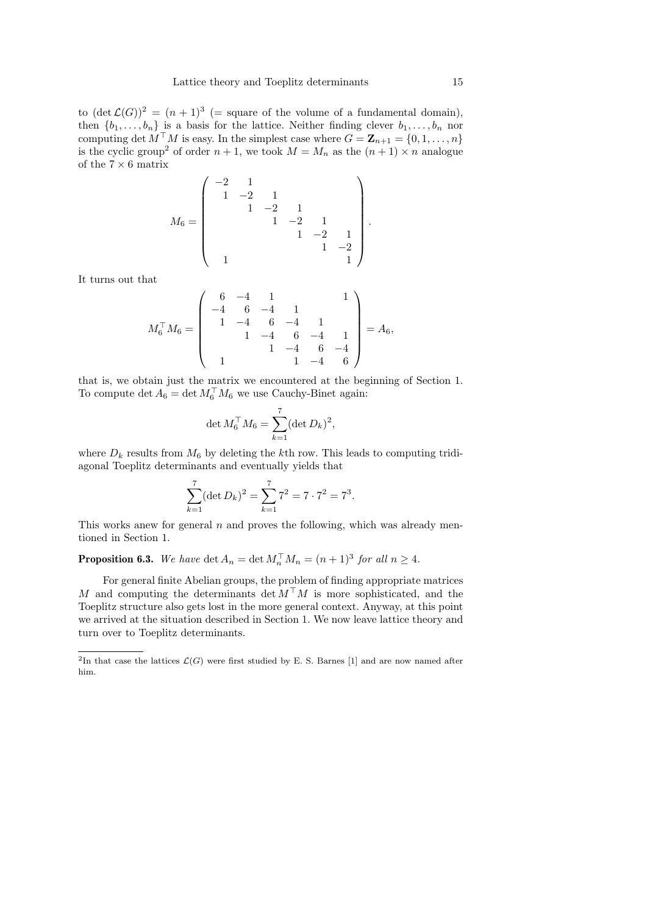to  $(\det \mathcal{L}(G))^2 = (n+1)^3$  (= square of the volume of a fundamental domain), then  $\{b_1, \ldots, b_n\}$  is a basis for the lattice. Neither finding clever  $b_1, \ldots, b_n$  nor computing det  $M^{\top}M$  is easy. In the simplest case where  $G = \mathbf{Z}_{n+1} = \{0, 1, \ldots, n\}$ is the cyclic group<sup>2</sup> of order  $n + 1$ , we took  $M = M_n$  as the  $(n + 1) \times n$  analogue of the  $7 \times 6$  matrix

$$
M_6 = \begin{pmatrix} -2 & 1 & & & & \\ 1 & -2 & 1 & & & \\ & 1 & -2 & 1 & & \\ & & 1 & -2 & 1 & \\ & & & 1 & -2 & 1 \\ & & & & 1 & -2 \\ & & & & & 1 \end{pmatrix}.
$$

It turns out that

$$
M_6^{\top} M_6 = \left( \begin{array}{rrrr} 6 & -4 & 1 & & 1 \\ -4 & 6 & -4 & 1 & \\ 1 & -4 & 6 & -4 & 1 \\ & 1 & -4 & 6 & -4 & 1 \\ & & 1 & -4 & 6 & -4 \\ & & & 1 & -4 & 6 \end{array} \right) = A_6,
$$

that is, we obtain just the matrix we encountered at the beginning of Section 1. To compute det  $A_6 = \det M_6^{\top} M_6$  we use Cauchy-Binet again:

$$
\det M_6^{\top} M_6 = \sum_{k=1}^7 (\det D_k)^2,
$$

where  $D_k$  results from  $M_6$  by deleting the kth row. This leads to computing tridiagonal Toeplitz determinants and eventually yields that

$$
\sum_{k=1}^{7} (\det D_k)^2 = \sum_{k=1}^{7} 7^2 = 7 \cdot 7^2 = 7^3.
$$

This works anew for general  $n$  and proves the following, which was already mentioned in Section 1.

**Proposition 6.3.** We have  $\det A_n = \det M_n^\top M_n = (n+1)^3$  for all  $n \ge 4$ .

For general finite Abelian groups, the problem of finding appropriate matrices M and computing the determinants det  $M^{\top}M$  is more sophisticated, and the Toeplitz structure also gets lost in the more general context. Anyway, at this point we arrived at the situation described in Section 1. We now leave lattice theory and turn over to Toeplitz determinants.

<sup>&</sup>lt;sup>2</sup>In that case the lattices  $\mathcal{L}(G)$  were first studied by E. S. Barnes [1] and are now named after him.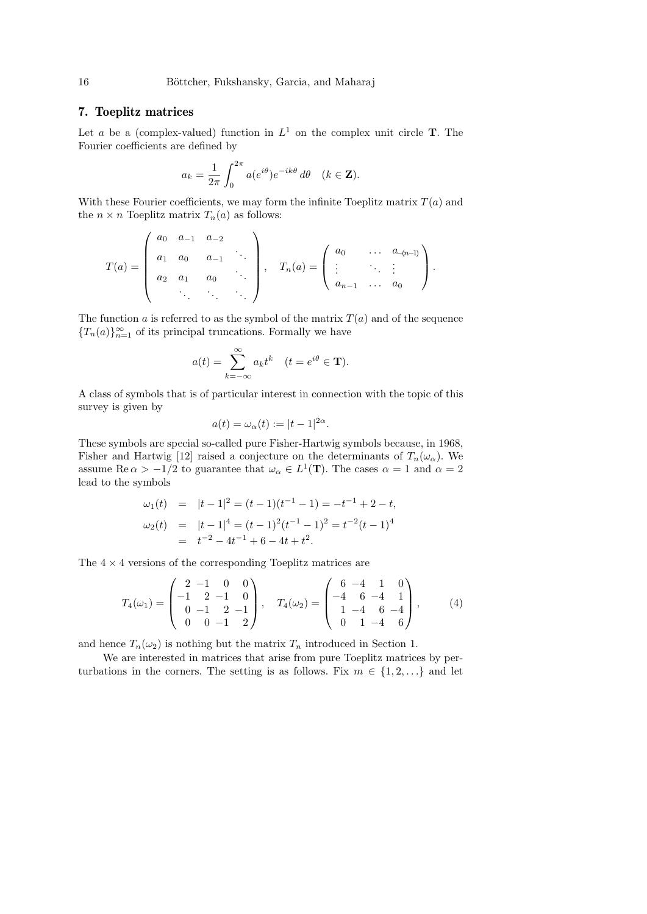## 7. Toeplitz matrices

Let a be a (complex-valued) function in  $L^1$  on the complex unit circle **T**. The Fourier coefficients are defined by

$$
a_k = \frac{1}{2\pi} \int_0^{2\pi} a(e^{i\theta}) e^{-ik\theta} d\theta \quad (k \in \mathbf{Z}).
$$

With these Fourier coefficients, we may form the infinite Toeplitz matrix  $T(a)$  and the  $n \times n$  Toeplitz matrix  $T_n(a)$  as follows:

$$
T(a) = \begin{pmatrix} a_0 & a_{-1} & a_{-2} \\ a_1 & a_0 & a_{-1} & \cdots \\ a_2 & a_1 & a_0 & \cdots \\ \vdots & \vdots & \ddots & \vdots \\ a_3 & \cdots & \vdots & \vdots \end{pmatrix}, \quad T_n(a) = \begin{pmatrix} a_0 & \cdots & a_{-(n-1)} \\ \vdots & \vdots & \vdots \\ a_{n-1} & \cdots & a_0 \end{pmatrix}.
$$

The function a is referred to as the symbol of the matrix  $T(a)$  and of the sequence  ${T_n(a)}_{n=1}^{\infty}$  of its principal truncations. Formally we have

$$
a(t) = \sum_{k=-\infty}^{\infty} a_k t^k \quad (t = e^{i\theta} \in \mathbf{T}).
$$

A class of symbols that is of particular interest in connection with the topic of this survey is given by

$$
a(t) = \omega_{\alpha}(t) := |t - 1|^{2\alpha}.
$$

These symbols are special so-called pure Fisher-Hartwig symbols because, in 1968, Fisher and Hartwig [12] raised a conjecture on the determinants of  $T_n(\omega_\alpha)$ . We assume Re $\alpha > -1/2$  to guarantee that  $\omega_{\alpha} \in L^1(\mathbf{T})$ . The cases  $\alpha = 1$  and  $\alpha = 2$ lead to the symbols

$$
\omega_1(t) = |t-1|^2 = (t-1)(t^{-1} - 1) = -t^{-1} + 2 - t,
$$
  
\n
$$
\omega_2(t) = |t-1|^4 = (t-1)^2(t^{-1} - 1)^2 = t^{-2}(t-1)^4
$$
  
\n
$$
= t^{-2} - 4t^{-1} + 6 - 4t + t^2.
$$

The  $4 \times 4$  versions of the corresponding Toeplitz matrices are

$$
T_4(\omega_1) = \begin{pmatrix} 2 & -1 & 0 & 0 \\ -1 & 2 & -1 & 0 \\ 0 & -1 & 2 & -1 \\ 0 & 0 & -1 & 2 \end{pmatrix}, \quad T_4(\omega_2) = \begin{pmatrix} 6 & -4 & 1 & 0 \\ -4 & 6 & -4 & 1 \\ 1 & -4 & 6 & -4 \\ 0 & 1 & -4 & 6 \end{pmatrix}, \quad (4)
$$

and hence  $T_n(\omega_2)$  is nothing but the matrix  $T_n$  introduced in Section 1.

We are interested in matrices that arise from pure Toeplitz matrices by perturbations in the corners. The setting is as follows. Fix  $m \in \{1, 2, ...\}$  and let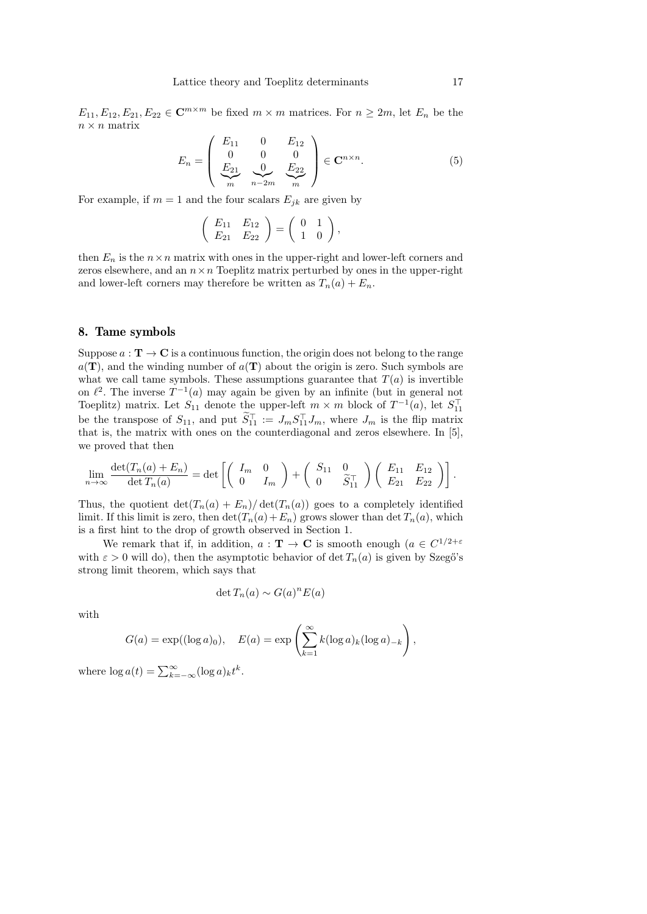$E_{11}, E_{12}, E_{21}, E_{22} \in \mathbb{C}^{m \times m}$  be fixed  $m \times m$  matrices. For  $n \geq 2m$ , let  $E_n$  be the  $n \times n$  matrix

$$
E_n = \begin{pmatrix} E_{11} & 0 & E_{12} \\ 0 & 0 & 0 \\ E_{21} & 0 & E_{22} \\ m & n-2m & m \end{pmatrix} \in \mathbf{C}^{n \times n}.
$$
 (5)

For example, if  $m = 1$  and the four scalars  $E_{ik}$  are given by

$$
\left(\begin{array}{cc} E_{11} & E_{12} \\ E_{21} & E_{22} \end{array}\right) = \left(\begin{array}{cc} 0 & 1 \\ 1 & 0 \end{array}\right),
$$

then  $E_n$  is the  $n \times n$  matrix with ones in the upper-right and lower-left corners and zeros elsewhere, and an  $n \times n$  Toeplitz matrix perturbed by ones in the upper-right and lower-left corners may therefore be written as  $T_n(a) + E_n$ .

#### 8. Tame symbols

Suppose  $a: \mathbf{T} \to \mathbf{C}$  is a continuous function, the origin does not belong to the range  $a(T)$ , and the winding number of  $a(T)$  about the origin is zero. Such symbols are what we call tame symbols. These assumptions guarantee that  $T(a)$  is invertible on  $\ell^2$ . The inverse  $T^{-1}(a)$  may again be given by an infinite (but in general not Toeplitz) matrix. Let  $S_{11}$  denote the upper-left  $m \times m$  block of  $T^{-1}(a)$ , let  $S_{11}^{\top}$ be the transpose of  $S_{11}$ , and put  $\widetilde{S}_{11}^{\top} := J_m S_{11}^{\top} J_m$ , where  $J_m$  is the flip matrix that is, the matrix with ones on the counterdiagonal and zeros elsewhere. In [5], we proved that then

$$
\lim_{n \to \infty} \frac{\det(T_n(a) + E_n)}{\det T_n(a)} = \det \left[ \begin{pmatrix} I_m & 0 \\ 0 & I_m \end{pmatrix} + \begin{pmatrix} S_{11} & 0 \\ 0 & \widetilde{S}_{11}^{\top} \end{pmatrix} \begin{pmatrix} E_{11} & E_{12} \\ E_{21} & E_{22} \end{pmatrix} \right].
$$

Thus, the quotient  $\det(T_n(a) + E_n)/\det(T_n(a))$  goes to a completely identified limit. If this limit is zero, then  $\det(T_n(a)+E_n)$  grows slower than  $\det T_n(a)$ , which is a first hint to the drop of growth observed in Section 1.

We remark that if, in addition,  $a: \mathbf{T} \to \mathbf{C}$  is smooth enough  $(a \in C^{1/2+\varepsilon})$ with  $\varepsilon > 0$  will do), then the asymptotic behavior of det  $T_n(a)$  is given by Szegő's strong limit theorem, which says that

$$
\det T_n(a) \sim G(a)^n E(a)
$$

with

$$
G(a) = \exp((\log a)_0), \quad E(a) = \exp\left(\sum_{k=1}^{\infty} k(\log a)_k(\log a)_{-k}\right),
$$

where  $\log a(t) = \sum_{k=-\infty}^{\infty} (\log a)_k t^k$ .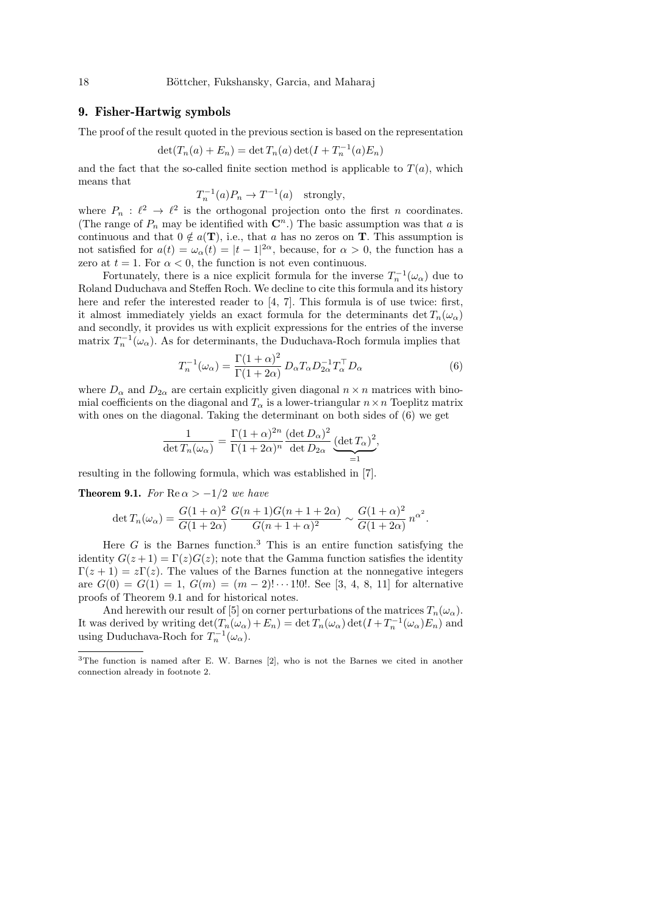## 9. Fisher-Hartwig symbols

The proof of the result quoted in the previous section is based on the representation

$$
\det(T_n(a) + E_n) = \det T_n(a) \det(I + T_n^{-1}(a)E_n)
$$

and the fact that the so-called finite section method is applicable to  $T(a)$ , which means that

$$
T_n^{-1}(a)P_n \to T^{-1}(a) \text{ strongly},
$$

where  $P_n : \ell^2 \to \ell^2$  is the orthogonal projection onto the first n coordinates. (The range of  $P_n$  may be identified with  $\mathbb{C}^n$ .) The basic assumption was that a is continuous and that  $0 \notin a(T)$ , i.e., that a has no zeros on T. This assumption is not satisfied for  $a(t) = \omega_{\alpha}(t) = |t - 1|^{2\alpha}$ , because, for  $\alpha > 0$ , the function has a zero at  $t = 1$ . For  $\alpha < 0$ , the function is not even continuous.

Fortunately, there is a nice explicit formula for the inverse  $T_n^{-1}(\omega_\alpha)$  due to Roland Duduchava and Steffen Roch. We decline to cite this formula and its history here and refer the interested reader to [4, 7]. This formula is of use twice: first, it almost immediately yields an exact formula for the determinants  $\det T_n(\omega_\alpha)$ and secondly, it provides us with explicit expressions for the entries of the inverse matrix  $T_n^{-1}(\omega_\alpha)$ . As for determinants, the Duduchava-Roch formula implies that

$$
T_n^{-1}(\omega_\alpha) = \frac{\Gamma(1+\alpha)^2}{\Gamma(1+2\alpha)} D_\alpha T_\alpha D_{2\alpha}^{-1} T_\alpha^\top D_\alpha \tag{6}
$$

where  $D_{\alpha}$  and  $D_{2\alpha}$  are certain explicitly given diagonal  $n \times n$  matrices with binomial coefficients on the diagonal and  $T_{\alpha}$  is a lower-triangular  $n \times n$  Toeplitz matrix with ones on the diagonal. Taking the determinant on both sides of (6) we get

$$
\frac{1}{\det T_n(\omega_\alpha)} = \frac{\Gamma(1+\alpha)^{2n}}{\Gamma(1+2\alpha)^n} \frac{(\det D_\alpha)^2}{\det D_{2\alpha}} \underbrace{(\det T_\alpha)^2}_{=1},
$$

resulting in the following formula, which was established in [7].

**Theorem 9.1.** For  $\text{Re}\,\alpha > -1/2$  we have

$$
\det T_n(\omega_\alpha) = \frac{G(1+\alpha)^2}{G(1+2\alpha)} \, \frac{G(n+1)G(n+1+2\alpha)}{G(n+1+\alpha)^2} \sim \frac{G(1+\alpha)^2}{G(1+2\alpha)} \, n^{\alpha^2}.
$$

Here G is the Barnes function.<sup>3</sup> This is an entire function satisfying the identity  $G(z+1) = \Gamma(z)G(z)$ ; note that the Gamma function satisfies the identity  $\Gamma(z+1) = z\Gamma(z)$ . The values of the Barnes function at the nonnegative integers are  $G(0) = G(1) = 1$ ,  $G(m) = (m-2)! \cdots 1!0!$ . See [3, 4, 8, 11] for alternative proofs of Theorem 9.1 and for historical notes.

And herewith our result of [5] on corner perturbations of the matrices  $T_n(\omega_\alpha)$ . It was derived by writing  $\det(T_n(\omega_\alpha) + E_n) = \det T_n(\omega_\alpha) \det(I + T_n^{-1}(\omega_\alpha) E_n)$  and using Duduchava-Roch for  $T_n^{-1}(\omega_\alpha)$ .

<sup>3</sup>The function is named after E. W. Barnes [2], who is not the Barnes we cited in another connection already in footnote 2.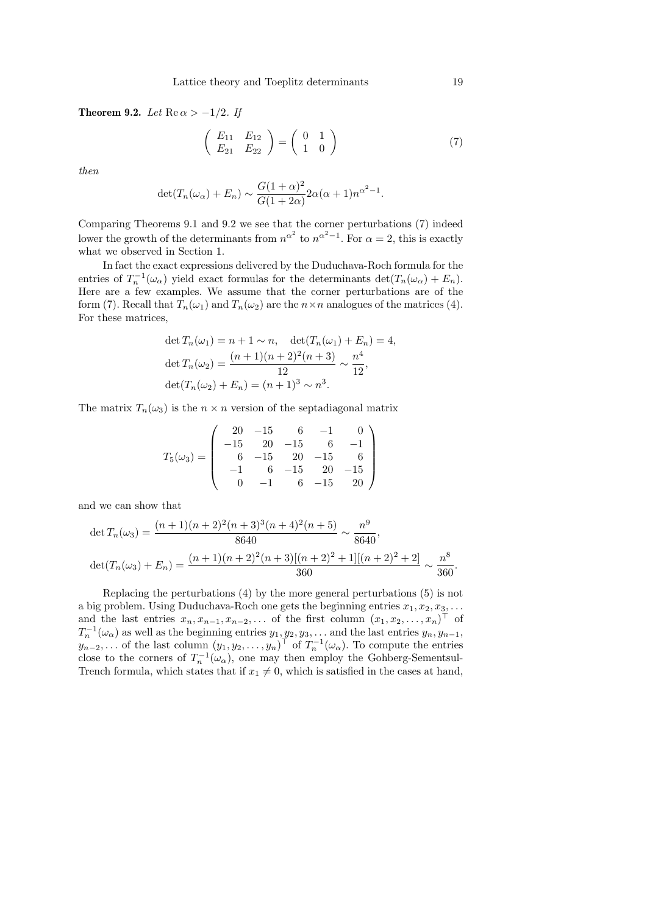Theorem 9.2. Let  $\text{Re}\,\alpha > -1/2$ . If

$$
\left(\begin{array}{cc} E_{11} & E_{12} \\ E_{21} & E_{22} \end{array}\right) = \left(\begin{array}{cc} 0 & 1 \\ 1 & 0 \end{array}\right) \tag{7}
$$

then

$$
\det(T_n(\omega_\alpha) + E_n) \sim \frac{G(1+\alpha)^2}{G(1+2\alpha)} 2\alpha(\alpha+1)n^{\alpha^2-1}.
$$

Comparing Theorems 9.1 and 9.2 we see that the corner perturbations (7) indeed lower the growth of the determinants from  $n^{\alpha^2}$  to  $n^{\alpha^2-1}$ . For  $\alpha=2$ , this is exactly what we observed in Section 1.

In fact the exact expressions delivered by the Duduchava-Roch formula for the entries of  $T_n^{-1}(\omega_\alpha)$  yield exact formulas for the determinants  $\det(T_n(\omega_\alpha) + E_n)$ . Here are a few examples. We assume that the corner perturbations are of the form (7). Recall that  $T_n(\omega_1)$  and  $T_n(\omega_2)$  are the  $n \times n$  analogues of the matrices (4). For these matrices,

$$
\det T_n(\omega_1) = n + 1 \sim n, \quad \det(T_n(\omega_1) + E_n) = 4,
$$
  
\n
$$
\det T_n(\omega_2) = \frac{(n+1)(n+2)^2(n+3)}{12} \sim \frac{n^4}{12},
$$
  
\n
$$
\det(T_n(\omega_2) + E_n) = (n+1)^3 \sim n^3.
$$

The matrix  $T_n(\omega_3)$  is the  $n \times n$  version of the septadiagonal matrix

$$
T_5(\omega_3) = \left(\begin{array}{rrrrr} 20 & -15 & 6 & -1 & 0 \\ -15 & 20 & -15 & 6 & -1 \\ 6 & -15 & 20 & -15 & 6 \\ -1 & 6 & -15 & 20 & -15 \\ 0 & -1 & 6 & -15 & 20 \end{array}\right)
$$

and we can show that

$$
\det T_n(\omega_3) = \frac{(n+1)(n+2)^2(n+3)^3(n+4)^2(n+5)}{8640} \sim \frac{n^9}{8640},
$$
  

$$
\det(T_n(\omega_3) + E_n) = \frac{(n+1)(n+2)^2(n+3)[(n+2)^2 + 1][(n+2)^2 + 2]}{360} \sim \frac{n^8}{360}.
$$

Replacing the perturbations (4) by the more general perturbations (5) is not a big problem. Using Duduchava-Roch one gets the beginning entries  $x_1, x_2, x_3, \ldots$ and the last entries  $x_n, x_{n-1}, x_{n-2}, \ldots$  of the first column  $(x_1, x_2, \ldots, x_n)^\top$  of  $T_n^{-1}(\omega_\alpha)$  as well as the beginning entries  $y_1, y_2, y_3, \ldots$  and the last entries  $y_n, y_{n-1}$ ,  $y_{n-2}, \ldots$  of the last column  $(y_1, y_2, \ldots, y_n)^\top$  of  $T_n^{-1}(\omega_\alpha)$ . To compute the entries close to the corners of  $T_n^{-1}(\omega_\alpha)$ , one may then employ the Gohberg-Sementsul-Trench formula, which states that if  $x_1 \neq 0$ , which is satisfied in the cases at hand,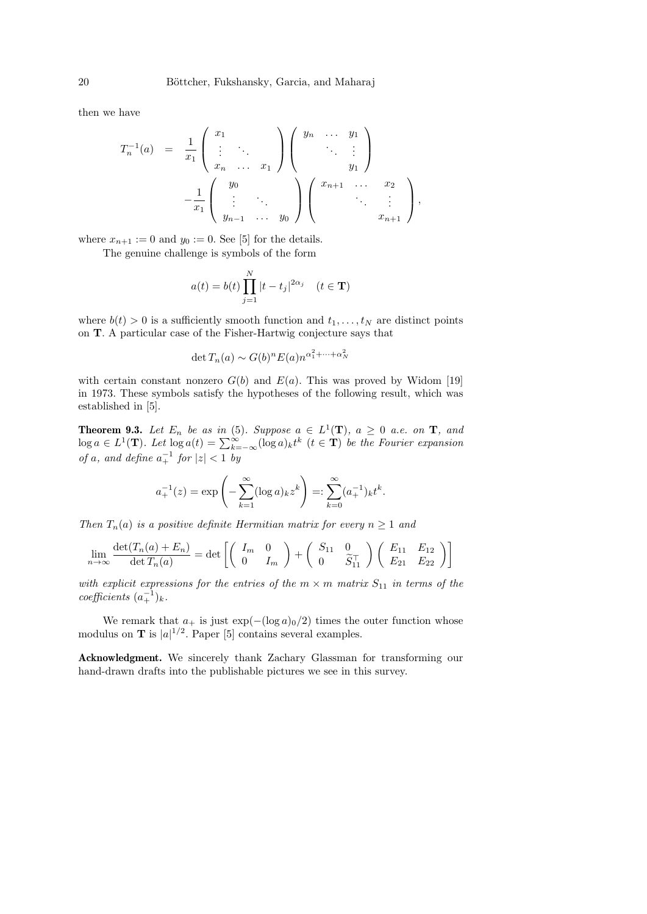then we have

$$
T_n^{-1}(a) = \frac{1}{x_1} \begin{pmatrix} x_1 \\ \vdots \\ x_n \\ x_n \end{pmatrix} \begin{pmatrix} y_n & \cdots & y_1 \\ & \ddots & \vdots \\ & & y_1 \end{pmatrix}
$$

$$
-\frac{1}{x_1} \begin{pmatrix} y_0 \\ \vdots & \ddots \\ y_{n-1} & \cdots & y_0 \end{pmatrix} \begin{pmatrix} x_{n+1} & \cdots & x_2 \\ & \ddots & \vdots \\ & & x_{n+1} \end{pmatrix},
$$

where  $x_{n+1} := 0$  and  $y_0 := 0$ . See [5] for the details.

The genuine challenge is symbols of the form

$$
a(t) = b(t) \prod_{j=1}^{N} |t - t_j|^{2\alpha_j} \quad (t \in \mathbf{T})
$$

where  $b(t) > 0$  is a sufficiently smooth function and  $t_1, \ldots, t_N$  are distinct points on T. A particular case of the Fisher-Hartwig conjecture says that

$$
\det T_n(a) \sim G(b)^n E(a) n^{\alpha_1^2 + \dots + \alpha_N^2}
$$

with certain constant nonzero  $G(b)$  and  $E(a)$ . This was proved by Widom [19] in 1973. These symbols satisfy the hypotheses of the following result, which was established in [5].

**Theorem 9.3.** Let  $E_n$  be as in (5). Suppose  $a \in L^1(\mathbf{T})$ ,  $a \geq 0$  a.e. on **T**, and  $\log a \in L^1(\mathbf{T})$ . Let  $\log a(t) = \sum_{k=-\infty}^{\infty} (\log a)_k t^k$   $(t \in \mathbf{T})$  be the Fourier expansion of a, and define  $a_+^{-1}$  for  $|z| < 1$  by

$$
a_+^{-1}(z) = \exp\left(-\sum_{k=1}^{\infty} (\log a)_k z^k\right) =: \sum_{k=0}^{\infty} (a_+^{-1})_k t^k.
$$

Then  $T_n(a)$  is a positive definite Hermitian matrix for every  $n \geq 1$  and

$$
\lim_{n \to \infty} \frac{\det(T_n(a) + E_n)}{\det T_n(a)} = \det \begin{bmatrix} \begin{pmatrix} I_m & 0 \\ 0 & I_m \end{pmatrix} + \begin{pmatrix} S_{11} & 0 \\ 0 & \widetilde{S}_{11}^{\top} \end{pmatrix} \begin{pmatrix} E_{11} & E_{12} \\ E_{21} & E_{22} \end{pmatrix} \end{bmatrix}
$$

with explicit expressions for the entries of the  $m \times m$  matrix  $S_{11}$  in terms of the  $coefficients (a_+^{-1})_k.$ 

We remark that  $a_+$  is just  $\exp(-(\log a)_0/2)$  times the outer function whose modulus on **T** is  $|a|^{1/2}$ . Paper [5] contains several examples.

Acknowledgment. We sincerely thank Zachary Glassman for transforming our hand-drawn drafts into the publishable pictures we see in this survey.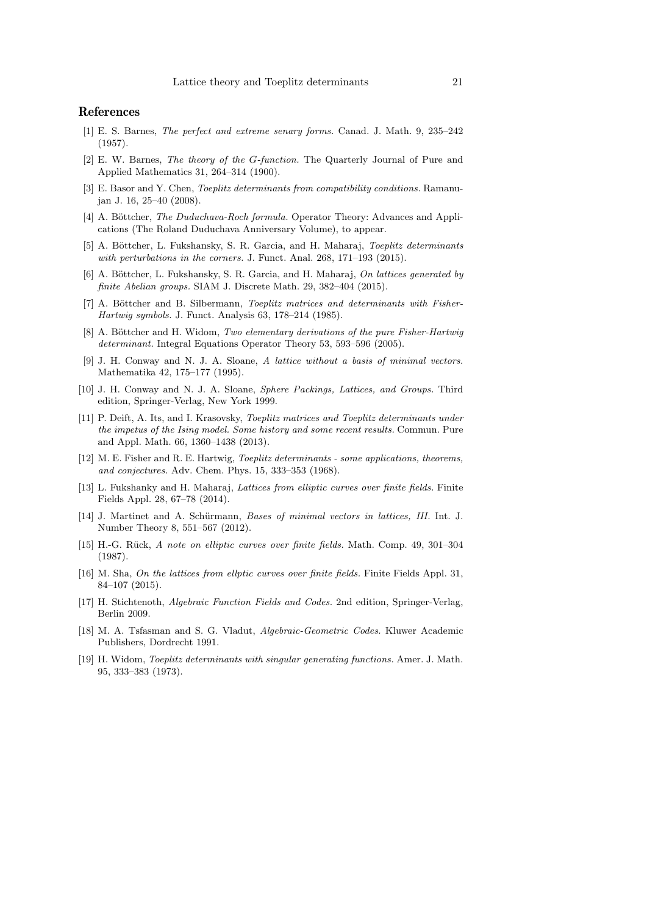#### References

- [1] E. S. Barnes, The perfect and extreme senary forms. Canad. J. Math. 9, 235–242 (1957).
- [2] E. W. Barnes, The theory of the G-function. The Quarterly Journal of Pure and Applied Mathematics 31, 264–314 (1900).
- [3] E. Basor and Y. Chen, Toeplitz determinants from compatibility conditions. Ramanujan J. 16, 25–40 (2008).
- [4] A. Böttcher, *The Duduchava-Roch formula*. Operator Theory: Advances and Applications (The Roland Duduchava Anniversary Volume), to appear.
- [5] A. Böttcher, L. Fukshansky, S. R. Garcia, and H. Maharaj, Toeplitz determinants with perturbations in the corners. J. Funct. Anal. 268, 171–193 (2015).
- [6] A. Böttcher, L. Fukshansky, S. R. Garcia, and H. Maharaj, On lattices generated by finite Abelian groups. SIAM J. Discrete Math. 29, 382–404 (2015).
- [7] A. Böttcher and B. Silbermann, *Toeplitz matrices and determinants with Fisher-*Hartwig symbols. J. Funct. Analysis 63, 178–214 (1985).
- [8] A. Böttcher and H. Widom, Two elementary derivations of the pure Fisher-Hartwig determinant. Integral Equations Operator Theory 53, 593–596 (2005).
- [9] J. H. Conway and N. J. A. Sloane, A lattice without a basis of minimal vectors. Mathematika 42, 175–177 (1995).
- [10] J. H. Conway and N. J. A. Sloane, Sphere Packings, Lattices, and Groups. Third edition, Springer-Verlag, New York 1999.
- [11] P. Deift, A. Its, and I. Krasovsky, Toeplitz matrices and Toeplitz determinants under the impetus of the Ising model. Some history and some recent results. Commun. Pure and Appl. Math. 66, 1360–1438 (2013).
- [12] M. E. Fisher and R. E. Hartwig, Toeplitz determinants some applications, theorems, and conjectures. Adv. Chem. Phys. 15, 333–353 (1968).
- [13] L. Fukshanky and H. Maharaj, Lattices from elliptic curves over finite fields. Finite Fields Appl. 28, 67–78 (2014).
- [14] J. Martinet and A. Schürmann, *Bases of minimal vectors in lattices, III.* Int. J. Number Theory 8, 551–567 (2012).
- [15] H.-G. R¨uck, A note on elliptic curves over finite fields. Math. Comp. 49, 301–304 (1987).
- [16] M. Sha, On the lattices from ellptic curves over finite fields. Finite Fields Appl. 31, 84–107 (2015).
- [17] H. Stichtenoth, Algebraic Function Fields and Codes. 2nd edition, Springer-Verlag, Berlin 2009.
- [18] M. A. Tsfasman and S. G. Vladut, Algebraic-Geometric Codes. Kluwer Academic Publishers, Dordrecht 1991.
- [19] H. Widom, Toeplitz determinants with singular generating functions. Amer. J. Math. 95, 333–383 (1973).